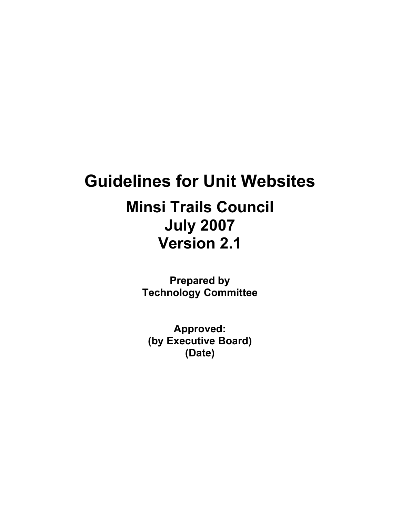# **Guidelines for Unit Websites**

# **Minsi Trails Council July 2007 Version 2.1**

**Prepared by Technology Committee**

**Approved: (by Executive Board) (Date)**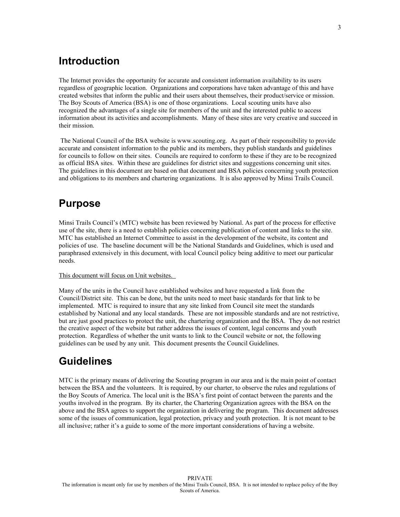# <span id="page-2-2"></span>**Introduction**

The Internet provides the opportunity for accurate and consistent information availability to its users regardless of geographic location. Organizations and corporations have taken advantage of this and have created websites that inform the public and their users about themselves, their product/service or mission. The Boy Scouts of America (BSA) is one of those organizations. Local scouting units have also recognized the advantages of a single site for members of the unit and the interested public to access information about its activities and accomplishments. Many of these sites are very creative and succeed in their mission.

 The National Council of the BSA website is www.scouting.org. As part of their responsibility to provide accurate and consistent information to the public and its members, they publish standards and guidelines for councils to follow on their sites. Councils are required to conform to these if they are to be recognized as official BSA sites. Within these are guidelines for district sites and suggestions concerning unit sites. The guidelines in this document are based on that document and BSA policies concerning youth protection and obligations to its members and chartering organizations. It is also approved by Minsi Trails Council.

## <span id="page-2-1"></span>**Purpose**

Minsi Trails Council's (MTC) website has been reviewed by National. As part of the process for effective use of the site, there is a need to establish policies concerning publication of content and links to the site. MTC has established an Internet Committee to assist in the development of the website, its content and policies of use. The baseline document will be the National Standards and Guidelines, which is used and paraphrased extensively in this document, with local Council policy being additive to meet our particular needs.

#### This document will focus on Unit websites.

Many of the units in the Council have established websites and have requested a link from the Council/District site. This can be done, but the units need to meet basic standards for that link to be implemented. MTC is required to insure that any site linked from Council site meet the standards established by National and any local standards. These are not impossible standards and are not restrictive, but are just good practices to protect the unit, the chartering organization and the BSA. They do not restrict the creative aspect of the website but rather address the issues of content, legal concerns and youth protection. Regardless of whether the unit wants to link to the Council website or not, the following guidelines can be used by any unit. This document presents the Council Guidelines.

# <span id="page-2-0"></span>**Guidelines**

MTC is the primary means of delivering the Scouting program in our area and is the main point of contact between the BSA and the volunteers. It is required, by our charter, to observe the rules and regulations of the Boy Scouts of America. The local unit is the BSA's first point of contact between the parents and the youths involved in the program. By its charter, the Chartering Organization agrees with the BSA on the above and the BSA agrees to support the organization in delivering the program. This document addresses some of the issues of communication, legal protection, privacy and youth protection. It is not meant to be all inclusive; rather it's a guide to some of the more important considerations of having a website.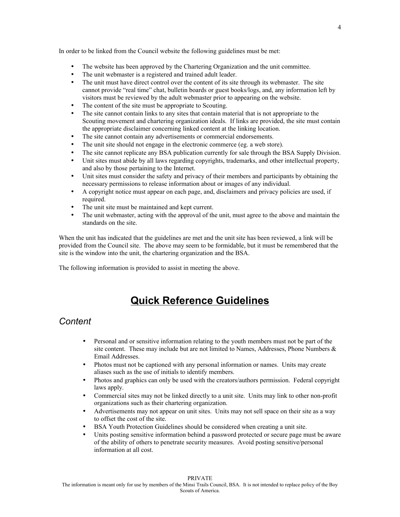In order to be linked from the Council website the following guidelines must be met:

- The website has been approved by the Chartering Organization and the unit committee.
- The unit webmaster is a registered and trained adult leader.
- The unit must have direct control over the content of its site through its webmaster. The site cannot provide "real time" chat, bulletin boards or guest books/logs, and, any information left by visitors must be reviewed by the adult webmaster prior to appearing on the website.
- The content of the site must be appropriate to Scouting.
- The site cannot contain links to any sites that contain material that is not appropriate to the Scouting movement and chartering organization ideals. If links are provided, the site must contain the appropriate disclaimer concerning linked content at the linking location.
- The site cannot contain any advertisements or commercial endorsements.
- The unit site should not engage in the electronic commerce (eg. a web store).
- The site cannot replicate any BSA publication currently for sale through the BSA Supply Division.
- Unit sites must abide by all laws regarding copyrights, trademarks, and other intellectual property, and also by those pertaining to the Internet.
- Unit sites must consider the safety and privacy of their members and participants by obtaining the necessary permissions to release information about or images of any individual.
- A copyright notice must appear on each page, and, disclaimers and privacy policies are used, if required.
- The unit site must be maintained and kept current.
- The unit webmaster, acting with the approval of the unit, must agree to the above and maintain the standards on the site.

When the unit has indicated that the guidelines are met and the unit site has been reviewed, a link will be provided from the Council site. The above may seem to be formidable, but it must be remembered that the site is the window into the unit, the chartering organization and the BSA.

The following information is provided to assist in meeting the above.

# <span id="page-3-0"></span>**Quick Reference Guidelines**

### *Content*

- Personal and or sensitive information relating to the youth members must not be part of the site content. These may include but are not limited to Names, Addresses, Phone Numbers  $\&$ Email Addresses.
- Photos must not be captioned with any personal information or names. Units may create aliases such as the use of initials to identify members.
- Photos and graphics can only be used with the creators/authors permission. Federal copyright laws apply.
- Commercial sites may not be linked directly to a unit site. Units may link to other non-profit organizations such as their chartering organization.
- Advertisements may not appear on unit sites. Units may not sell space on their site as a way to offset the cost of the site.
- BSA Youth Protection Guidelines should be considered when creating a unit site.
- Units posting sensitive information behind a password protected or secure page must be aware of the ability of others to penetrate security measures. Avoid posting sensitive/personal information at all cost.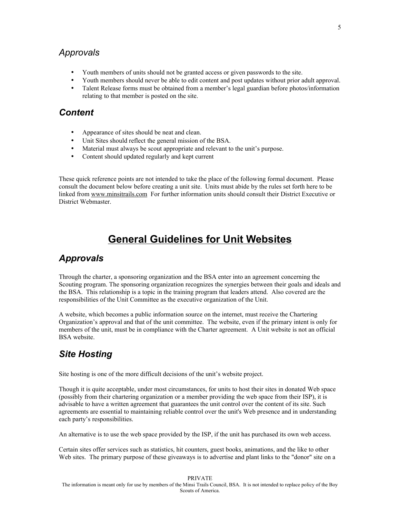## *Approvals*

- Youth members of units should not be granted access or given passwords to the site.
- Youth members should never be able to edit content and post updates without prior adult approval.
- Talent Release forms must be obtained from a member's legal guardian before photos/information relating to that member is posted on the site.

## *Content*

- Appearance of sites should be neat and clean.
- Unit Sites should reflect the general mission of the BSA.
- Material must always be scout appropriate and relevant to the unit's purpose.
- Content should updated regularly and kept current

These quick reference points are not intended to take the place of the following formal document. Please consult the document below before creating a unit site. Units must abide by the rules set forth here to be linked from [www.minsitrails.com](http://www.minsitrails.com/) For further information units should consult their District Executive or District Webmaster.

# <span id="page-4-2"></span>**General Guidelines for Unit Websites**

## <span id="page-4-1"></span>*Approvals*

Through the charter, a sponsoring organization and the BSA enter into an agreement concerning the Scouting program. The sponsoring organization recognizes the synergies between their goals and ideals and the BSA. This relationship is a topic in the training program that leaders attend. Also covered are the responsibilities of the Unit Committee as the executive organization of the Unit.

A website, which becomes a public information source on the internet, must receive the Chartering Organization's approval and that of the unit committee. The website, even if the primary intent is only for members of the unit, must be in compliance with the Charter agreement. A Unit website is not an official BSA website.

# <span id="page-4-0"></span>*Site Hosting*

Site hosting is one of the more difficult decisions of the unit's website project.

Though it is quite acceptable, under most circumstances, for units to host their sites in donated Web space (possibly from their chartering organization or a member providing the web space from their ISP), it is advisable to have a written agreement that guarantees the unit control over the content of its site. Such agreements are essential to maintaining reliable control over the unit's Web presence and in understanding each party's responsibilities.

An alternative is to use the web space provided by the ISP, if the unit has purchased its own web access.

Certain sites offer services such as statistics, hit counters, guest books, animations, and the like to other Web sites. The primary purpose of these giveaways is to advertise and plant links to the "donor" site on a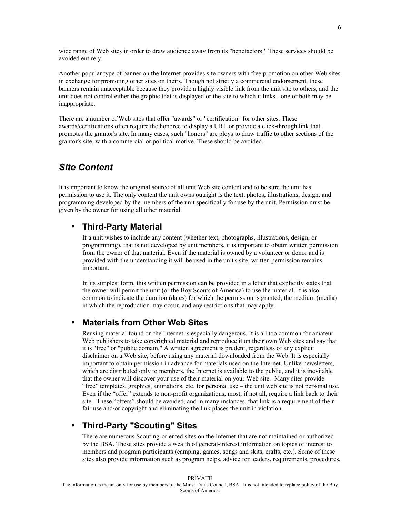wide range of Web sites in order to draw audience away from its "benefactors." These services should be avoided entirely.

Another popular type of banner on the Internet provides site owners with free promotion on other Web sites in exchange for promoting other sites on theirs. Though not strictly a commercial endorsement, these banners remain unacceptable because they provide a highly visible link from the unit site to others, and the unit does not control either the graphic that is displayed or the site to which it links - one or both may be inappropriate.

There are a number of Web sites that offer "awards" or "certification" for other sites. These awards/certifications often require the honoree to display a URL or provide a click-through link that promotes the grantor's site. In many cases, such "honors" are ploys to draw traffic to other sections of the grantor's site, with a commercial or political motive. These should be avoided.

## <span id="page-5-3"></span>*Site Content*

It is important to know the original source of all unit Web site content and to be sure the unit has permission to use it. The only content the unit owns outright is the text, photos, illustrations, design, and programming developed by the members of the unit specifically for use by the unit. Permission must be given by the owner for using all other material.

## <span id="page-5-2"></span>• **Third-Party Material**

If a unit wishes to include any content (whether text, photographs, illustrations, design, or programming), that is not developed by unit members, it is important to obtain written permission from the owner of that material. Even if the material is owned by a volunteer or donor and is provided with the understanding it will be used in the unit's site, written permission remains important.

In its simplest form, this written permission can be provided in a letter that explicitly states that the owner will permit the unit (or the Boy Scouts of America) to use the material. It is also common to indicate the duration (dates) for which the permission is granted, the medium (media) in which the reproduction may occur, and any restrictions that may apply.

#### <span id="page-5-1"></span>• **Materials from Other Web Sites**

Reusing material found on the Internet is especially dangerous. It is all too common for amateur Web publishers to take copyrighted material and reproduce it on their own Web sites and say that it is "free" or "public domain." A written agreement is prudent, regardless of any explicit disclaimer on a Web site, before using any material downloaded from the Web. It is especially important to obtain permission in advance for materials used on the Internet. Unlike newsletters, which are distributed only to members, the Internet is available to the public, and it is inevitable that the owner will discover your use of their material on your Web site. Many sites provide "free" templates, graphics, animations, etc. for personal use – the unit web site is not personal use. Even if the "offer" extends to non-profit organizations, most, if not all, require a link back to their site. These "offers" should be avoided, and in many instances, that link is a requirement of their fair use and/or copyright and eliminating the link places the unit in violation.

## <span id="page-5-0"></span>• **Third-Party "Scouting" Sites**

There are numerous Scouting-oriented sites on the Internet that are not maintained or authorized by the BSA. These sites provide a wealth of general-interest information on topics of interest to members and program participants (camping, games, songs and skits, crafts, etc.). Some of these sites also provide information such as program helps, advice for leaders, requirements, procedures,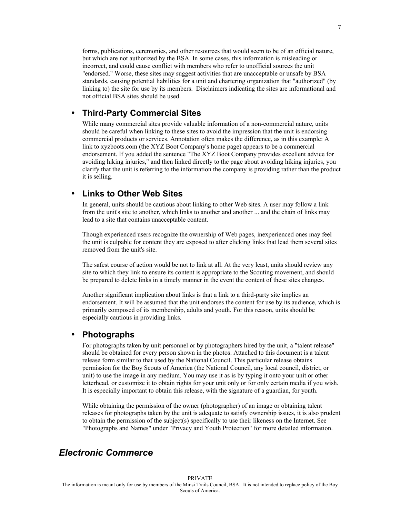forms, publications, ceremonies, and other resources that would seem to be of an official nature, but which are not authorized by the BSA. In some cases, this information is misleading or incorrect, and could cause conflict with members who refer to unofficial sources the unit "endorsed." Worse, these sites may suggest activities that are unacceptable or unsafe by BSA standards, causing potential liabilities for a unit and chartering organization that "authorized" (by linking to) the site for use by its members. Disclaimers indicating the sites are informational and not official BSA sites should be used.

#### <span id="page-6-3"></span>• **Third-Party Commercial Sites**

While many commercial sites provide valuable information of a non-commercial nature, units should be careful when linking to these sites to avoid the impression that the unit is endorsing commercial products or services. Annotation often makes the difference, as in this example: A link to xyzboots.com (the XYZ Boot Company's home page) appears to be a commercial endorsement. If you added the sentence "The XYZ Boot Company provides excellent advice for avoiding hiking injuries," and then linked directly to the page about avoiding hiking injuries, you clarify that the unit is referring to the information the company is providing rather than the product it is selling.

#### <span id="page-6-2"></span>• **Links to Other Web Sites**

In general, units should be cautious about linking to other Web sites. A user may follow a link from the unit's site to another, which links to another and another ... and the chain of links may lead to a site that contains unacceptable content.

Though experienced users recognize the ownership of Web pages, inexperienced ones may feel the unit is culpable for content they are exposed to after clicking links that lead them several sites removed from the unit's site.

The safest course of action would be not to link at all. At the very least, units should review any site to which they link to ensure its content is appropriate to the Scouting movement, and should be prepared to delete links in a timely manner in the event the content of these sites changes.

Another significant implication about links is that a link to a third-party site implies an endorsement. It will be assumed that the unit endorses the content for use by its audience, which is primarily composed of its membership, adults and youth. For this reason, units should be especially cautious in providing links.

#### <span id="page-6-1"></span>• **Photographs**

For photographs taken by unit personnel or by photographers hired by the unit, a "talent release" should be obtained for every person shown in the photos. Attached to this document is a talent release form similar to that used by the National Council. This particular release obtains permission for the Boy Scouts of America (the National Council, any local council, district, or unit) to use the image in any medium. You may use it as is by typing it onto your unit or other letterhead, or customize it to obtain rights for your unit only or for only certain media if you wish. It is especially important to obtain this release, with the signature of a guardian, for youth.

While obtaining the permission of the owner (photographer) of an image or obtaining talent releases for photographs taken by the unit is adequate to satisfy ownership issues, it is also prudent to obtain the permission of the subject(s) specifically to use their likeness on the Internet. See "Photographs and Names" under "Privacy and Youth Protection" for more detailed information.

## <span id="page-6-0"></span>*Electronic Commerce*

PRIVATE The information is meant only for use by members of the Minsi Trails Council, BSA. It is not intended to replace policy of the Boy Scouts of America.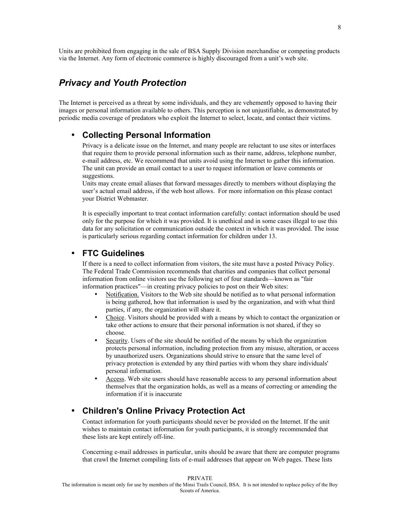Units are prohibited from engaging in the sale of BSA Supply Division merchandise or competing products via the Internet. Any form of electronic commerce is highly discouraged from a unit's web site.

## <span id="page-7-3"></span>*Privacy and Youth Protection*

The Internet is perceived as a threat by some individuals, and they are vehemently opposed to having their images or personal information available to others. This perception is not unjustifiable, as demonstrated by periodic media coverage of predators who exploit the Internet to select, locate, and contact their victims.

#### <span id="page-7-2"></span>• **Collecting Personal Information**

Privacy is a delicate issue on the Internet, and many people are reluctant to use sites or interfaces that require them to provide personal information such as their name, address, telephone number, e-mail address, etc. We recommend that units avoid using the Internet to gather this information. The unit can provide an email contact to a user to request information or leave comments or suggestions.

Units may create email aliases that forward messages directly to members without displaying the user's actual email address, if the web host allows. For more information on this please contact your District Webmaster.

It is especially important to treat contact information carefully: contact information should be used only for the purpose for which it was provided. It is unethical and in some cases illegal to use this data for any solicitation or communication outside the context in which it was provided. The issue is particularly serious regarding contact information for children under 13.

#### <span id="page-7-1"></span>• **FTC Guidelines**

If there is a need to collect information from visitors, the site must have a posted Privacy Policy. The Federal Trade Commission recommends that charities and companies that collect personal information from online visitors use the following set of four standards—known as "fair information practices"—in creating privacy policies to post on their Web sites:

- Notification. Visitors to the Web site should be notified as to what personal information is being gathered, how that information is used by the organization, and with what third parties, if any, the organization will share it.
- Choice. Visitors should be provided with a means by which to contact the organization or take other actions to ensure that their personal information is not shared, if they so choose.
- Security. Users of the site should be notified of the means by which the organization protects personal information, including protection from any misuse, alteration, or access by unauthorized users. Organizations should strive to ensure that the same level of privacy protection is extended by any third parties with whom they share individuals' personal information.
- Access. Web site users should have reasonable access to any personal information about themselves that the organization holds, as well as a means of correcting or amending the information if it is inaccurate

#### <span id="page-7-0"></span>• **Children's Online Privacy Protection Act**

Contact information for youth participants should never be provided on the Internet. If the unit wishes to maintain contact information for youth participants, it is strongly recommended that these lists are kept entirely off-line.

Concerning e-mail addresses in particular, units should be aware that there are computer programs that crawl the Internet compiling lists of e-mail addresses that appear on Web pages. These lists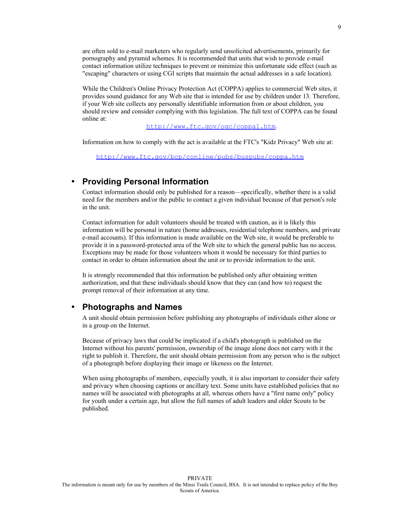are often sold to e-mail marketers who regularly send unsolicited advertisements, primarily for pornography and pyramid schemes. It is recommended that units that wish to provide e-mail contact information utilize techniques to prevent or minimize this unfortunate side effect (such as "escaping" characters or using CGI scripts that maintain the actual addresses in a safe location).

While the Children's Online Privacy Protection Act (COPPA) applies to commercial Web sites, it provides sound guidance for any Web site that is intended for use by children under 13. Therefore, if your Web site collects any personally identifiable information from or about children, you should review and consider complying with this legislation. The full text of COPPA can be found online at:

<http://www.ftc.gov/ogc/coppa1.htm>.

Information on how to comply with the act is available at the FTC's "Kidz Privacy" Web site at:

<http://www.ftc.gov/bcp/conline/pubs/buspubs/coppa.htm>

#### <span id="page-8-1"></span>• **Providing Personal Information**

Contact information should only be published for a reason—specifically, whether there is a valid need for the members and/or the public to contact a given individual because of that person's role in the unit.

Contact information for adult volunteers should be treated with caution, as it is likely this information will be personal in nature (home addresses, residential telephone numbers, and private e-mail accounts). If this information is made available on the Web site, it would be preferable to provide it in a password-protected area of the Web site to which the general public has no access. Exceptions may be made for those volunteers whom it would be necessary for third parties to contact in order to obtain information about the unit or to provide information to the unit.

It is strongly recommended that this information be published only after obtaining written authorization, and that these individuals should know that they can (and how to) request the prompt removal of their information at any time.

#### <span id="page-8-0"></span>• **Photographs and Names**

A unit should obtain permission before publishing any photographs of individuals either alone or in a group on the Internet.

Because of privacy laws that could be implicated if a child's photograph is published on the Internet without his parents' permission, ownership of the image alone does not carry with it the right to publish it. Therefore, the unit should obtain permission from any person who is the subject of a photograph before displaying their image or likeness on the Internet.

When using photographs of members, especially youth, it is also important to consider their safety and privacy when choosing captions or ancillary text. Some units have established policies that no names will be associated with photographs at all, whereas others have a "first name only" policy for youth under a certain age, but allow the full names of adult leaders and older Scouts to be published.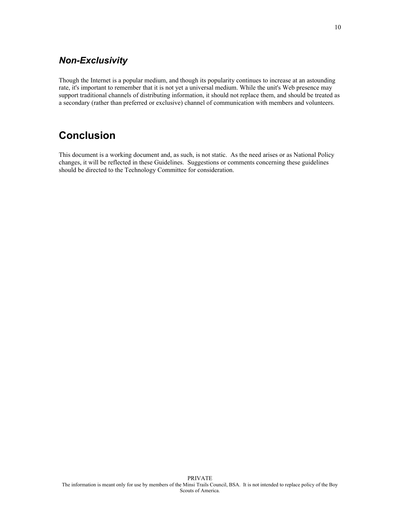## <span id="page-9-1"></span>*Non-Exclusivity*

Though the Internet is a popular medium, and though its popularity continues to increase at an astounding rate, it's important to remember that it is not yet a universal medium. While the unit's Web presence may support traditional channels of distributing information, it should not replace them, and should be treated as a secondary (rather than preferred or exclusive) channel of communication with members and volunteers.

# <span id="page-9-0"></span>**Conclusion**

This document is a working document and, as such, is not static. As the need arises or as National Policy changes, it will be reflected in these Guidelines. Suggestions or comments concerning these guidelines should be directed to the Technology Committee for consideration.